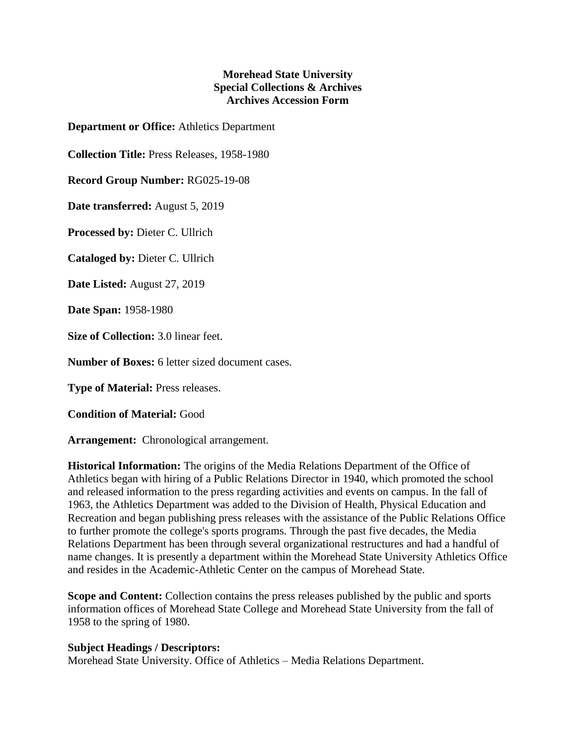## **Morehead State University Special Collections & Archives Archives Accession Form**

**Department or Office:** Athletics Department

**Collection Title:** Press Releases, 1958-1980

**Record Group Number:** RG025-19-08

**Date transferred:** August 5, 2019

**Processed by:** Dieter C. Ullrich

**Cataloged by:** Dieter C. Ullrich

**Date Listed:** August 27, 2019

**Date Span:** 1958-1980

**Size of Collection:** 3.0 linear feet.

**Number of Boxes:** 6 letter sized document cases.

**Type of Material:** Press releases.

**Condition of Material:** Good

**Arrangement:** Chronological arrangement.

**Historical Information:** The origins of the Media Relations Department of the Office of Athletics began with hiring of a Public Relations Director in 1940, which promoted the school and released information to the press regarding activities and events on campus. In the fall of 1963, the Athletics Department was added to the Division of Health, Physical Education and Recreation and began publishing press releases with the assistance of the Public Relations Office to further promote the college's sports programs. Through the past five decades, the Media Relations Department has been through several organizational restructures and had a handful of name changes. It is presently a department within the Morehead State University Athletics Office and resides in the Academic-Athletic Center on the campus of Morehead State.

**Scope and Content:** Collection contains the press releases published by the public and sports information offices of Morehead State College and Morehead State University from the fall of 1958 to the spring of 1980.

## **Subject Headings / Descriptors:**

Morehead State University. Office of Athletics – Media Relations Department.